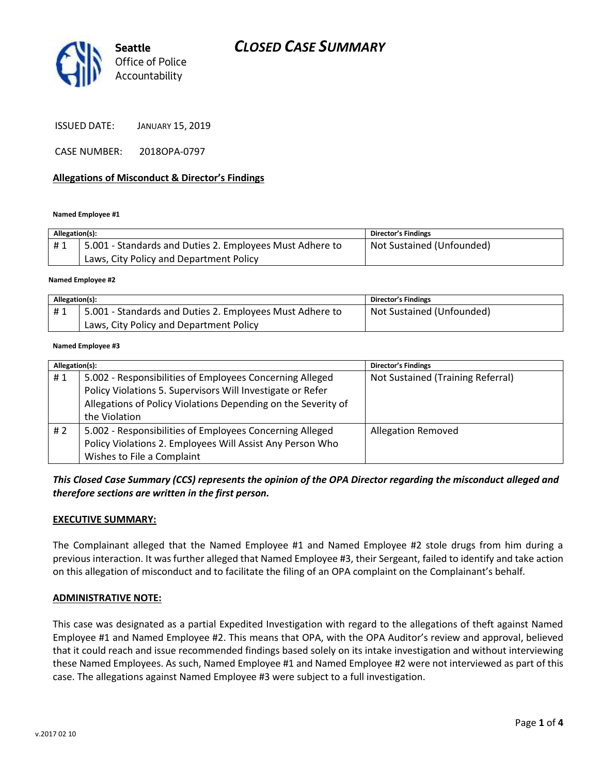



ISSUED DATE: JANUARY 15, 2019

CASE NUMBER: 2018OPA-0797

#### **Allegations of Misconduct & Director's Findings**

**Named Employee #1**

| Allegation(s): |                                                          | Director's Findings       |
|----------------|----------------------------------------------------------|---------------------------|
| #1             | 5.001 - Standards and Duties 2. Employees Must Adhere to | Not Sustained (Unfounded) |
|                | Laws, City Policy and Department Policy                  |                           |
|                |                                                          |                           |

**Named Employee #2**

| Allegation(s): |                                                          | Director's Findings       |
|----------------|----------------------------------------------------------|---------------------------|
| #1             | 5.001 - Standards and Duties 2. Employees Must Adhere to | Not Sustained (Unfounded) |
|                | Laws, City Policy and Department Policy                  |                           |

**Named Employee #3**

| Allegation(s): |                                                               | <b>Director's Findings</b>        |
|----------------|---------------------------------------------------------------|-----------------------------------|
| #1             | 5.002 - Responsibilities of Employees Concerning Alleged      | Not Sustained (Training Referral) |
|                | Policy Violations 5. Supervisors Will Investigate or Refer    |                                   |
|                | Allegations of Policy Violations Depending on the Severity of |                                   |
|                | the Violation                                                 |                                   |
| #2             | 5.002 - Responsibilities of Employees Concerning Alleged      | <b>Allegation Removed</b>         |
|                | Policy Violations 2. Employees Will Assist Any Person Who     |                                   |
|                | Wishes to File a Complaint                                    |                                   |

*This Closed Case Summary (CCS) represents the opinion of the OPA Director regarding the misconduct alleged and therefore sections are written in the first person.* 

#### **EXECUTIVE SUMMARY:**

The Complainant alleged that the Named Employee #1 and Named Employee #2 stole drugs from him during a previous interaction. It was further alleged that Named Employee #3, their Sergeant, failed to identify and take action on this allegation of misconduct and to facilitate the filing of an OPA complaint on the Complainant's behalf.

#### **ADMINISTRATIVE NOTE:**

This case was designated as a partial Expedited Investigation with regard to the allegations of theft against Named Employee #1 and Named Employee #2. This means that OPA, with the OPA Auditor's review and approval, believed that it could reach and issue recommended findings based solely on its intake investigation and without interviewing these Named Employees. As such, Named Employee #1 and Named Employee #2 were not interviewed as part of this case. The allegations against Named Employee #3 were subject to a full investigation.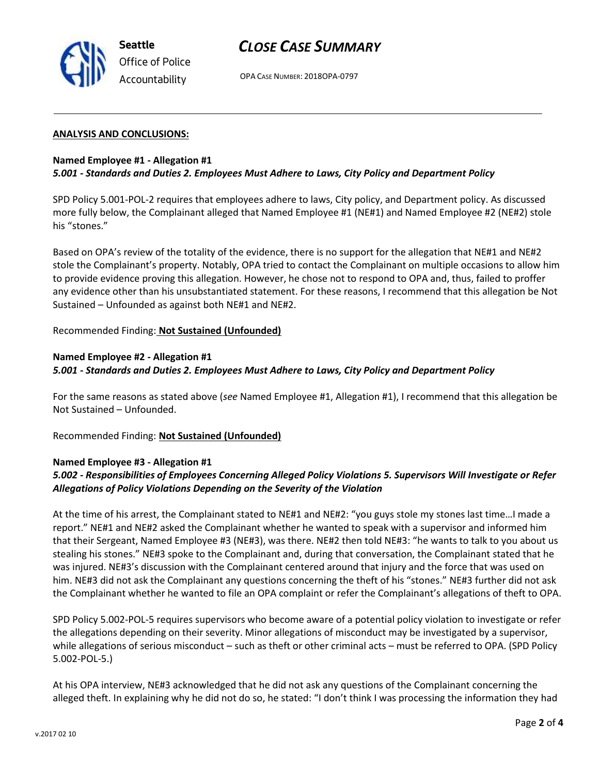

## *CLOSE CASE SUMMARY*

OPA CASE NUMBER: 2018OPA-0797

#### **ANALYSIS AND CONCLUSIONS:**

### **Named Employee #1 - Allegation #1** *5.001 - Standards and Duties 2. Employees Must Adhere to Laws, City Policy and Department Policy*

SPD Policy 5.001-POL-2 requires that employees adhere to laws, City policy, and Department policy. As discussed more fully below, the Complainant alleged that Named Employee #1 (NE#1) and Named Employee #2 (NE#2) stole his "stones."

Based on OPA's review of the totality of the evidence, there is no support for the allegation that NE#1 and NE#2 stole the Complainant's property. Notably, OPA tried to contact the Complainant on multiple occasions to allow him to provide evidence proving this allegation. However, he chose not to respond to OPA and, thus, failed to proffer any evidence other than his unsubstantiated statement. For these reasons, I recommend that this allegation be Not Sustained – Unfounded as against both NE#1 and NE#2.

### Recommended Finding: **Not Sustained (Unfounded)**

### **Named Employee #2 - Allegation #1** *5.001 - Standards and Duties 2. Employees Must Adhere to Laws, City Policy and Department Policy*

For the same reasons as stated above (*see* Named Employee #1, Allegation #1), I recommend that this allegation be Not Sustained – Unfounded.

Recommended Finding: **Not Sustained (Unfounded)**

### **Named Employee #3 - Allegation #1**

## *5.002 - Responsibilities of Employees Concerning Alleged Policy Violations 5. Supervisors Will Investigate or Refer Allegations of Policy Violations Depending on the Severity of the Violation*

At the time of his arrest, the Complainant stated to NE#1 and NE#2: "you guys stole my stones last time…I made a report." NE#1 and NE#2 asked the Complainant whether he wanted to speak with a supervisor and informed him that their Sergeant, Named Employee #3 (NE#3), was there. NE#2 then told NE#3: "he wants to talk to you about us stealing his stones." NE#3 spoke to the Complainant and, during that conversation, the Complainant stated that he was injured. NE#3's discussion with the Complainant centered around that injury and the force that was used on him. NE#3 did not ask the Complainant any questions concerning the theft of his "stones." NE#3 further did not ask the Complainant whether he wanted to file an OPA complaint or refer the Complainant's allegations of theft to OPA.

SPD Policy 5.002-POL-5 requires supervisors who become aware of a potential policy violation to investigate or refer the allegations depending on their severity. Minor allegations of misconduct may be investigated by a supervisor, while allegations of serious misconduct – such as theft or other criminal acts – must be referred to OPA. (SPD Policy 5.002-POL-5.)

At his OPA interview, NE#3 acknowledged that he did not ask any questions of the Complainant concerning the alleged theft. In explaining why he did not do so, he stated: "I don't think I was processing the information they had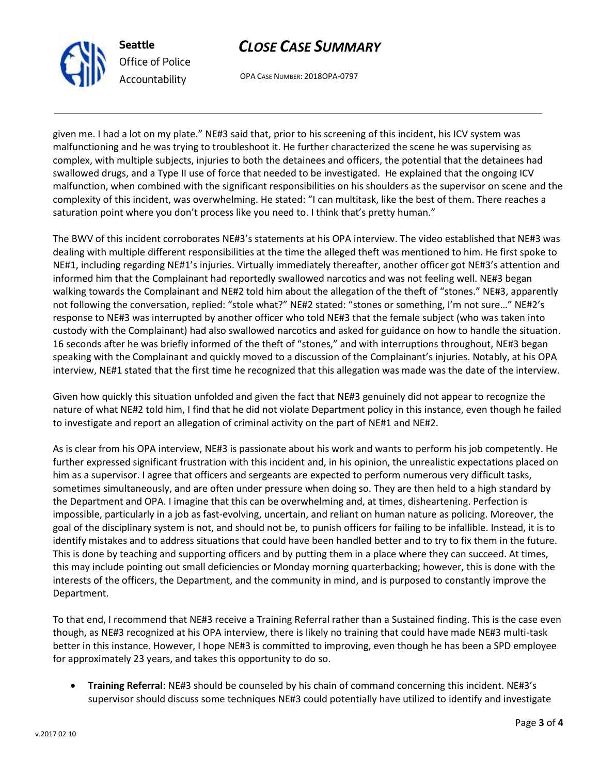

# *CLOSE CASE SUMMARY*

OPA CASE NUMBER: 2018OPA-0797

given me. I had a lot on my plate." NE#3 said that, prior to his screening of this incident, his ICV system was malfunctioning and he was trying to troubleshoot it. He further characterized the scene he was supervising as complex, with multiple subjects, injuries to both the detainees and officers, the potential that the detainees had swallowed drugs, and a Type II use of force that needed to be investigated. He explained that the ongoing ICV malfunction, when combined with the significant responsibilities on his shoulders as the supervisor on scene and the complexity of this incident, was overwhelming. He stated: "I can multitask, like the best of them. There reaches a saturation point where you don't process like you need to. I think that's pretty human."

The BWV of this incident corroborates NE#3's statements at his OPA interview. The video established that NE#3 was dealing with multiple different responsibilities at the time the alleged theft was mentioned to him. He first spoke to NE#1, including regarding NE#1's injuries. Virtually immediately thereafter, another officer got NE#3's attention and informed him that the Complainant had reportedly swallowed narcotics and was not feeling well. NE#3 began walking towards the Complainant and NE#2 told him about the allegation of the theft of "stones." NE#3, apparently not following the conversation, replied: "stole what?" NE#2 stated: "stones or something, I'm not sure…" NE#2's response to NE#3 was interrupted by another officer who told NE#3 that the female subject (who was taken into custody with the Complainant) had also swallowed narcotics and asked for guidance on how to handle the situation. 16 seconds after he was briefly informed of the theft of "stones," and with interruptions throughout, NE#3 began speaking with the Complainant and quickly moved to a discussion of the Complainant's injuries. Notably, at his OPA interview, NE#1 stated that the first time he recognized that this allegation was made was the date of the interview.

Given how quickly this situation unfolded and given the fact that NE#3 genuinely did not appear to recognize the nature of what NE#2 told him, I find that he did not violate Department policy in this instance, even though he failed to investigate and report an allegation of criminal activity on the part of NE#1 and NE#2.

As is clear from his OPA interview, NE#3 is passionate about his work and wants to perform his job competently. He further expressed significant frustration with this incident and, in his opinion, the unrealistic expectations placed on him as a supervisor. I agree that officers and sergeants are expected to perform numerous very difficult tasks, sometimes simultaneously, and are often under pressure when doing so. They are then held to a high standard by the Department and OPA. I imagine that this can be overwhelming and, at times, disheartening. Perfection is impossible, particularly in a job as fast-evolving, uncertain, and reliant on human nature as policing. Moreover, the goal of the disciplinary system is not, and should not be, to punish officers for failing to be infallible. Instead, it is to identify mistakes and to address situations that could have been handled better and to try to fix them in the future. This is done by teaching and supporting officers and by putting them in a place where they can succeed. At times, this may include pointing out small deficiencies or Monday morning quarterbacking; however, this is done with the interests of the officers, the Department, and the community in mind, and is purposed to constantly improve the Department.

To that end, I recommend that NE#3 receive a Training Referral rather than a Sustained finding. This is the case even though, as NE#3 recognized at his OPA interview, there is likely no training that could have made NE#3 multi-task better in this instance. However, I hope NE#3 is committed to improving, even though he has been a SPD employee for approximately 23 years, and takes this opportunity to do so.

• **Training Referral**: NE#3 should be counseled by his chain of command concerning this incident. NE#3's supervisor should discuss some techniques NE#3 could potentially have utilized to identify and investigate